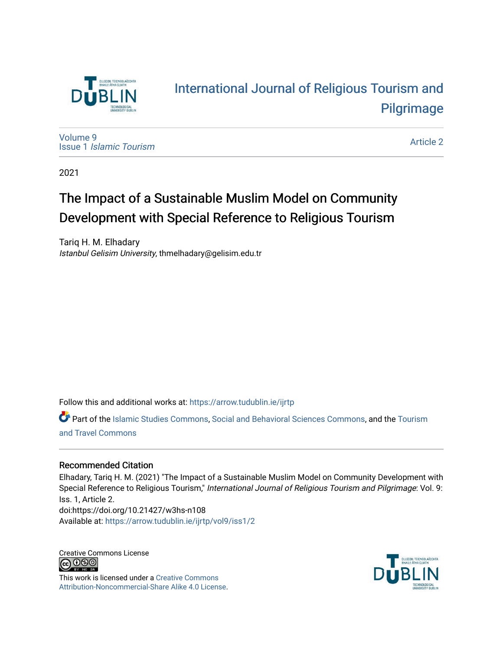

# [International Journal of Religious Tourism and](https://arrow.tudublin.ie/ijrtp)  [Pilgrimage](https://arrow.tudublin.ie/ijrtp)

[Volume 9](https://arrow.tudublin.ie/ijrtp/vol9) Issue 1 [Islamic Tourism](https://arrow.tudublin.ie/ijrtp/vol9/iss1)

[Article 2](https://arrow.tudublin.ie/ijrtp/vol9/iss1/2) 

2021

# The Impact of a Sustainable Muslim Model on Community Development with Special Reference to Religious Tourism

Tariq H. M. Elhadary Istanbul Gelisim University, thmelhadary@gelisim.edu.tr

Follow this and additional works at: [https://arrow.tudublin.ie/ijrtp](https://arrow.tudublin.ie/ijrtp?utm_source=arrow.tudublin.ie%2Fijrtp%2Fvol9%2Fiss1%2F2&utm_medium=PDF&utm_campaign=PDFCoverPages)

Part of the [Islamic Studies Commons,](http://network.bepress.com/hgg/discipline/1346?utm_source=arrow.tudublin.ie%2Fijrtp%2Fvol9%2Fiss1%2F2&utm_medium=PDF&utm_campaign=PDFCoverPages) [Social and Behavioral Sciences Commons](http://network.bepress.com/hgg/discipline/316?utm_source=arrow.tudublin.ie%2Fijrtp%2Fvol9%2Fiss1%2F2&utm_medium=PDF&utm_campaign=PDFCoverPages), and the Tourism [and Travel Commons](http://network.bepress.com/hgg/discipline/1082?utm_source=arrow.tudublin.ie%2Fijrtp%2Fvol9%2Fiss1%2F2&utm_medium=PDF&utm_campaign=PDFCoverPages)

## Recommended Citation

Elhadary, Tariq H. M. (2021) "The Impact of a Sustainable Muslim Model on Community Development with Special Reference to Religious Tourism," International Journal of Religious Tourism and Pilgrimage: Vol. 9: Iss. 1, Article 2. doi:https://doi.org/10.21427/w3hs-n108 Available at: [https://arrow.tudublin.ie/ijrtp/vol9/iss1/2](https://arrow.tudublin.ie/ijrtp/vol9/iss1/2?utm_source=arrow.tudublin.ie%2Fijrtp%2Fvol9%2Fiss1%2F2&utm_medium=PDF&utm_campaign=PDFCoverPages)

Creative Commons License <u>@@@</u>

This work is licensed under a [Creative Commons](https://creativecommons.org/licenses/by-nc-sa/4.0/) [Attribution-Noncommercial-Share Alike 4.0 License](https://creativecommons.org/licenses/by-nc-sa/4.0/).

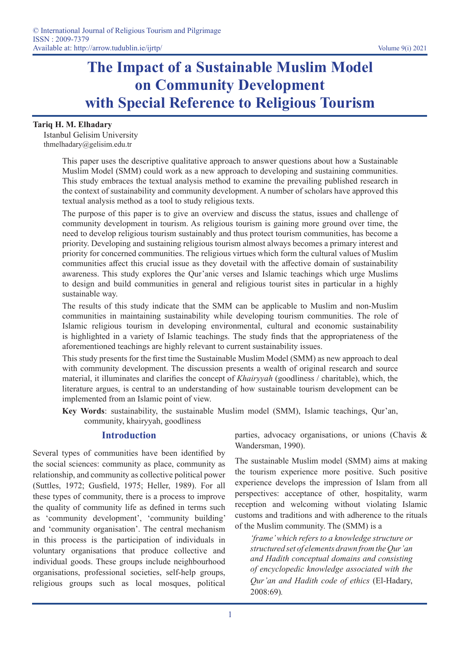# **The Impact of a Sustainable Muslim Model on Community Development with Special Reference to Religious Tourism**

#### **Tariq H. M. Elhadary**

Istanbul Gelisim University thmelhadary@gelisim.edu.tr

> This paper uses the descriptive qualitative approach to answer questions about how a Sustainable Muslim Model (SMM) could work as a new approach to developing and sustaining communities. This study embraces the textual analysis method to examine the prevailing published research in the context of sustainability and community development. A number of scholars have approved this textual analysis method as a tool to study religious texts.

> The purpose of this paper is to give an overview and discuss the status, issues and challenge of community development in tourism. As religious tourism is gaining more ground over time, the need to develop religious tourism sustainably and thus protect tourism communities, has become a priority. Developing and sustaining religious tourism almost always becomes a primary interest and priority for concerned communities. The religious virtues which form the cultural values of Muslim communities affect this crucial issue as they dovetail with the affective domain of sustainability awareness. This study explores the Qur'anic verses and Islamic teachings which urge Muslims to design and build communities in general and religious tourist sites in particular in a highly sustainable way.

> The results of this study indicate that the SMM can be applicable to Muslim and non-Muslim communities in maintaining sustainability while developing tourism communities. The role of Islamic religious tourism in developing environmental, cultural and economic sustainability is highlighted in a variety of Islamic teachings. The study finds that the appropriateness of the aforementioned teachings are highly relevant to current sustainability issues.

> This study presents for the first time the Sustainable Muslim Model (SMM) as new approach to deal with community development. The discussion presents a wealth of original research and source material, it illuminates and clarifies the concept of *Khairyyah* (goodliness / charitable), which, the literature argues, is central to an understanding of how sustainable tourism development can be implemented from an Islamic point of view.

> **Key Words**: sustainability, the sustainable Muslim model (SMM), Islamic teachings, Qur'an, community, khairyyah, goodliness

## **Introduction**

Several types of communities have been identified by the social sciences: community as place, community as relationship, and community as collective political power (Suttles, 1972; Gusfield, 1975; Heller, 1989). For all these types of community, there is a process to improve the quality of community life as defined in terms such as 'community development', 'community building' and 'community organisation'. The central mechanism in this process is the participation of individuals in voluntary organisations that produce collective and individual goods. These groups include neighbourhood organisations, professional societies, self-help groups, religious groups such as local mosques, political parties, advocacy organisations, or unions (Chavis & Wandersman, 1990).

The sustainable Muslim model (SMM) aims at making the tourism experience more positive. Such positive experience develops the impression of Islam from all perspectives: acceptance of other, hospitality, warm reception and welcoming without violating Islamic customs and traditions and with adherence to the rituals of the Muslim community. The (SMM) is a

*'frame' which refers to a knowledge structure or structured set of elements drawn from the Qur'an and Hadith conceptual domains and consisting of encyclopedic knowledge associated with the Qur'an and Hadith code of ethics* (El-Hadary, 2008:69)*.*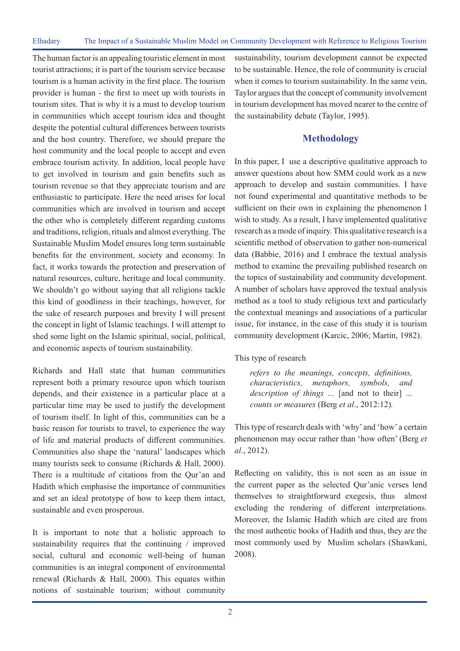The human factor is an appealing touristic element in most tourist attractions; it is part of the tourism service because tourism is a human activity in the first place. The tourism provider is human - the first to meet up with tourists in tourism sites. That is why it is a must to develop tourism in communities which accept tourism idea and thought despite the potential cultural differences between tourists and the host country. Therefore, we should prepare the host community and the local people to accept and even embrace tourism activity. In addition, local people have to get involved in tourism and gain benefits such as tourism revenue so that they appreciate tourism and are enthusiastic to participate. Here the need arises for local communities which are involved in tourism and accept the other who is completely different regarding customs and traditions, religion, rituals and almost everything. The Sustainable Muslim Model ensures long term sustainable benefits for the environment, society and economy. In fact, it works towards the protection and preservation of natural resources, culture, heritage and local community. We shouldn't go without saying that all religions tackle this kind of goodliness in their teachings, however, for the sake of research purposes and brevity I will present the concept in light of Islamic teachings. I will attempt to shed some light on the Islamic spiritual, social, political, and economic aspects of tourism sustainability.

Richards and Hall state that human communities represent both a primary resource upon which tourism depends, and their existence in a particular place at a particular time may be used to justify the development of tourism itself. In light of this, communities can be a basic reason for tourists to travel, to experience the way of life and material products of different communities. Communities also shape the 'natural' landscapes which many tourists seek to consume (Richards & Hall, 2000). There is a multitude of citations from the Qur'an and Hadith which emphasise the importance of communities and set an ideal prototype of how to keep them intact, sustainable and even prosperous.

It is important to note that a holistic approach to sustainability requires that the continuing / improved social, cultural and economic well-being of human communities is an integral component of environmental renewal (Richards & Hall, 2000). This equates within notions of sustainable tourism; without community sustainability, tourism development cannot be expected to be sustainable. Hence, the role of community is crucial when it comes to tourism sustainability. In the same vein, Taylor argues that the concept of community involvement in tourism development has moved nearer to the centre of the sustainability debate (Taylor, 1995).

### **Methodology**

In this paper, I use a descriptive qualitative approach to answer questions about how SMM could work as a new approach to develop and sustain communities. I have not found experimental and quantitative methods to be sufficient on their own in explaining the phenomenon I wish to study. As a result, I have implemented qualitative research as a mode of inquiry. This qualitative research is a scientific method of observation to gather non-numerical data (Babbie, 2016) and I embrace the textual analysis method to examine the prevailing published research on the topics of sustainability and community development. A number of scholars have approved the textual analysis method as a tool to study religious text and particularly the contextual meanings and associations of a particular issue, for instance, in the case of this study it is tourism community development (Karcic, 2006; Martin, 1982).

This type of research

*refers to the meanings, concepts, definitions, characteristics, metaphors, symbols, and description of things ...* [and not to their] ... *counts or measures* (Berg *et al*., 2012:12)*.* 

This type of research deals with 'why' and 'how' a certain phenomenon may occur rather than 'how often' (Berg *et al*., 2012).

Reflecting on validity, this is not seen as an issue in the current paper as the selected Qur'anic verses lend themselves to straightforward exegesis, thus almost excluding the rendering of different interpretations. Moreover, the Islamic Hadith which are cited are from the most authentic books of Hadith and thus, they are the most commonly used by Muslim scholars (Shawkani, 2008).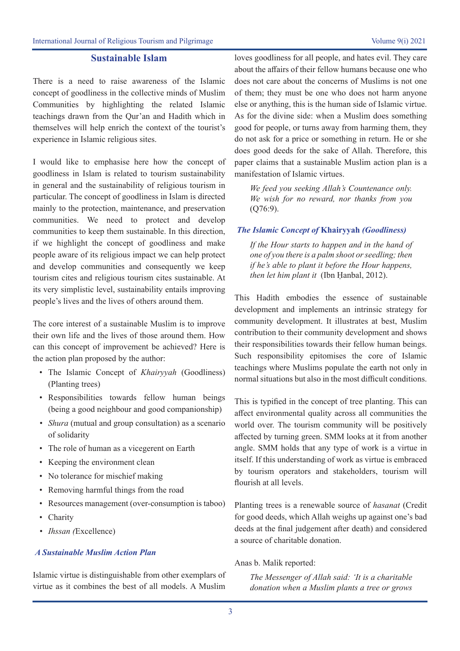#### **Sustainable Islam**

There is a need to raise awareness of the Islamic concept of goodliness in the collective minds of Muslim Communities by highlighting the related Islamic teachings drawn from the Qur'an and Hadith which in themselves will help enrich the context of the tourist's experience in Islamic religious sites.

I would like to emphasise here how the concept of goodliness in Islam is related to tourism sustainability in general and the sustainability of religious tourism in particular. The concept of goodliness in Islam is directed mainly to the protection, maintenance, and preservation communities. We need to protect and develop communities to keep them sustainable. In this direction, if we highlight the concept of goodliness and make people aware of its religious impact we can help protect and develop communities and consequently we keep tourism cites and religious tourism cites sustainable. At its very simplistic level, sustainability entails improving people's lives and the lives of others around them.

The core interest of a sustainable Muslim is to improve their own life and the lives of those around them. How can this concept of improvement be achieved? Here is the action plan proposed by the author:

- The Islamic Concept of *Khairyyah* (Goodliness) (Planting trees)
- Responsibilities towards fellow human beings (being a good neighbour and good companionship)
- *• Shura* (mutual and group consultation) as a scenario of solidarity
- The role of human as a vicegerent on Earth
- Keeping the environment clean
- No tolerance for mischief making
- Removing harmful things from the road
- Resources management (over-consumption is taboo)
- Charity
- *• Ihssan (*Excellence)

#### *A Sustainable Muslim Action Plan*

Islamic virtue is distinguishable from other exemplars of virtue as it combines the best of all models. A Muslim

loves goodliness for all people, and hates evil. They care about the affairs of their fellow humans because one who does not care about the concerns of Muslims is not one of them; they must be one who does not harm anyone else or anything, this is the human side of Islamic virtue. As for the divine side: when a Muslim does something good for people, or turns away from harming them, they do not ask for a price or something in return. He or she does good deeds for the sake of Allah. Therefore, this paper claims that a sustainable Muslim action plan is a manifestation of Islamic virtues.

*We feed you seeking Allah's Countenance only. We wish for no reward, nor thanks from you*  (Q76:9).

#### *The Islamic Concept of* **Khairyyah** *(Goodliness)*

*If the Hour starts to happen and in the hand of one of you there is a palm shoot or seedling; then if he's able to plant it before the Hour happens, then let him plant it* (Ibn Ḥanbal, 2012).

This Hadith embodies the essence of sustainable development and implements an intrinsic strategy for community development. It illustrates at best, Muslim contribution to their community development and shows their responsibilities towards their fellow human beings. Such responsibility epitomises the core of Islamic teachings where Muslims populate the earth not only in normal situations but also in the most difficult conditions.

This is typified in the concept of tree planting. This can affect environmental quality across all communities the world over. The tourism community will be positively affected by turning green. SMM looks at it from another angle. SMM holds that any type of work is a virtue in itself. If this understanding of work as virtue is embraced by tourism operators and stakeholders, tourism will flourish at all levels.

Planting trees is a renewable source of *hasanat* (Credit for good deeds, which Allah weighs up against one's bad deeds at the final judgement after death) and considered a source of charitable donation.

Anas b. Malik reported:

*The Messenger of Allah said: 'It is a charitable donation when a Muslim plants a tree or grows*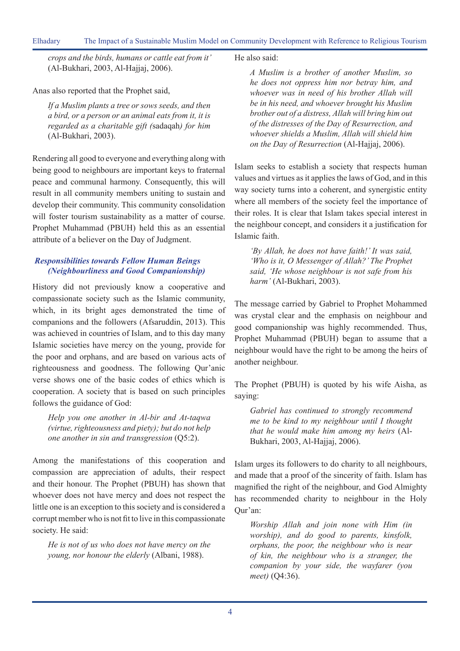*crops and the birds, humans or cattle eat from it'*  (Al-Bukhari, 2003, Al-Hajjaj, 2006).

Anas also reported that the Prophet said,

*If a Muslim plants a tree or sows seeds, and then a bird, or a person or an animal eats from it, it is regarded as a charitable gift (*sadaqah*) for him*  (Al-Bukhari, 2003).

Rendering all good to everyone and everything along with being good to neighbours are important keys to fraternal peace and communal harmony. Consequently, this will result in all community members uniting to sustain and develop their community. This community consolidation will foster tourism sustainability as a matter of course. Prophet Muhammad (PBUH) held this as an essential attribute of a believer on the Day of Judgment.

### *Responsibilities towards Fellow Human Beings (Neighbourliness and Good Companionship)*

History did not previously know a cooperative and compassionate society such as the Islamic community, which, in its bright ages demonstrated the time of companions and the followers (Afsaruddin, 2013). This was achieved in countries of Islam, and to this day many Islamic societies have mercy on the young, provide for the poor and orphans, and are based on various acts of righteousness and goodness. The following Qur'anic verse shows one of the basic codes of ethics which is cooperation. A society that is based on such principles follows the guidance of God:

*Help you one another in Al-bir and At-taqwa (virtue, righteousness and piety); but do not help one another in sin and transgression* (Q5:2).

Among the manifestations of this cooperation and compassion are appreciation of adults, their respect and their honour. The Prophet (PBUH) has shown that whoever does not have mercy and does not respect the little one is an exception to this society and is considered a corrupt member who is not fit to live in this compassionate society. He said:

*He is not of us who does not have mercy on the young, nor honour the elderly* (Albani, 1988).

He also said:

*A Muslim is a brother of another Muslim, so he does not oppress him nor betray him, and whoever was in need of his brother Allah will be in his need, and whoever brought his Muslim brother out of a distress, Allah will bring him out of the distresses of the Day of Resurrection, and whoever shields a Muslim, Allah will shield him on the Day of Resurrection* (Al-Hajjaj, 2006).

Islam seeks to establish a society that respects human values and virtues as it applies the laws of God, and in this way society turns into a coherent, and synergistic entity where all members of the society feel the importance of their roles. It is clear that Islam takes special interest in the neighbour concept, and considers it a justification for Islamic faith.

*'By Allah, he does not have faith!' It was said, 'Who is it, O Messenger of Allah?' The Prophet said, 'He whose neighbour is not safe from his harm'* (Al-Bukhari, 2003).

The message carried by Gabriel to Prophet Mohammed was crystal clear and the emphasis on neighbour and good companionship was highly recommended. Thus, Prophet Muhammad (PBUH) began to assume that a neighbour would have the right to be among the heirs of another neighbour.

The Prophet (PBUH) is quoted by his wife Aisha, as saying:

*Gabriel has continued to strongly recommend me to be kind to my neighbour until I thought that he would make him among my heirs* (Al-Bukhari, 2003, Al-Hajjaj, 2006).

Islam urges its followers to do charity to all neighbours, and made that a proof of the sincerity of faith. Islam has magnified the right of the neighbour, and God Almighty has recommended charity to neighbour in the Holy Qur'an:

*Worship Allah and join none with Him (in worship), and do good to parents, kinsfolk, orphans, the poor, the neighbour who is near of kin, the neighbour who is a stranger, the companion by your side, the wayfarer (you meet)* (Q4:36).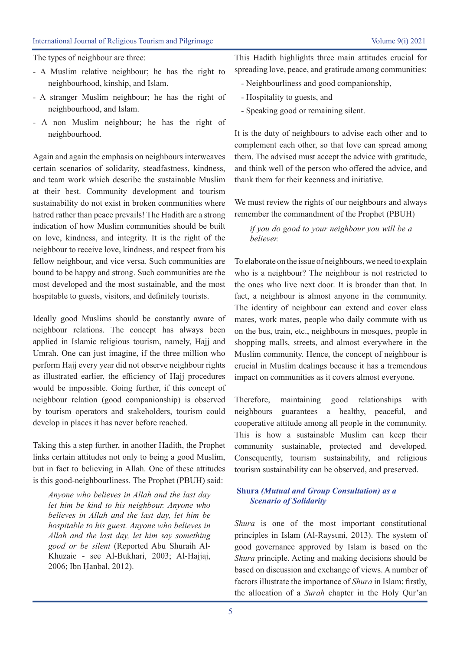#### International Journal of Religious Tourism and Pilgrimage Volume 9(i) 2021

The types of neighbour are three:

- A Muslim relative neighbour; he has the right to neighbourhood, kinship, and Islam.
- A stranger Muslim neighbour; he has the right of neighbourhood, and Islam.
- A non Muslim neighbour; he has the right of neighbourhood.

Again and again the emphasis on neighbours interweaves certain scenarios of solidarity, steadfastness, kindness, and team work which describe the sustainable Muslim at their best. Community development and tourism sustainability do not exist in broken communities where hatred rather than peace prevails! The Hadith are a strong indication of how Muslim communities should be built on love, kindness, and integrity. It is the right of the neighbour to receive love, kindness, and respect from his fellow neighbour, and vice versa. Such communities are bound to be happy and strong. Such communities are the most developed and the most sustainable, and the most hospitable to guests, visitors, and definitely tourists.

Ideally good Muslims should be constantly aware of neighbour relations. The concept has always been applied in Islamic religious tourism, namely, Hajj and Umrah. One can just imagine, if the three million who perform Hajj every year did not observe neighbour rights as illustrated earlier, the efficiency of Hajj procedures would be impossible. Going further, if this concept of neighbour relation (good companionship) is observed by tourism operators and stakeholders, tourism could develop in places it has never before reached.

Taking this a step further, in another Hadith, the Prophet links certain attitudes not only to being a good Muslim, but in fact to believing in Allah. One of these attitudes is this good-neighbourliness. The Prophet (PBUH) said:

*Anyone who believes in Allah and the last day let him be kind to his neighbour. Anyone who believes in Allah and the last day, let him be hospitable to his guest. Anyone who believes in Allah and the last day, let him say something good or be silent* (Reported Abu Shuraih Al-Khuzaie - see Al-Bukhari, 2003; Al-Hajjaj, 2006; Ibn Ḥanbal, 2012).

This Hadith highlights three main attitudes crucial for spreading love, peace, and gratitude among communities:

- Neighbourliness and good companionship,
- Hospitality to guests, and
- Speaking good or remaining silent.

It is the duty of neighbours to advise each other and to complement each other, so that love can spread among them. The advised must accept the advice with gratitude, and think well of the person who offered the advice, and thank them for their keenness and initiative.

We must review the rights of our neighbours and always remember the commandment of the Prophet (PBUH)

*if you do good to your neighbour you will be a believer.*

To elaborate on the issue of neighbours, we need to explain who is a neighbour? The neighbour is not restricted to the ones who live next door. It is broader than that. In fact, a neighbour is almost anyone in the community. The identity of neighbour can extend and cover class mates, work mates, people who daily commute with us on the bus, train, etc., neighbours in mosques, people in shopping malls, streets, and almost everywhere in the Muslim community. Hence, the concept of neighbour is crucial in Muslim dealings because it has a tremendous impact on communities as it covers almost everyone.

Therefore, maintaining good relationships with neighbours guarantees a healthy, peaceful, and cooperative attitude among all people in the community. This is how a sustainable Muslim can keep their community sustainable, protected and developed. Consequently, tourism sustainability, and religious tourism sustainability can be observed, and preserved.

### **Shura** *(Mutual and Group Consultation) as a Scenario of Solidarity*

*Shura* is one of the most important constitutional principles in Islam (Al-Raysuni, 2013). The system of good governance approved by Islam is based on the *Shura* principle. Acting and making decisions should be based on discussion and exchange of views. A number of factors illustrate the importance of *Shura* in Islam: firstly, the allocation of a *Surah* chapter in the Holy Qur'an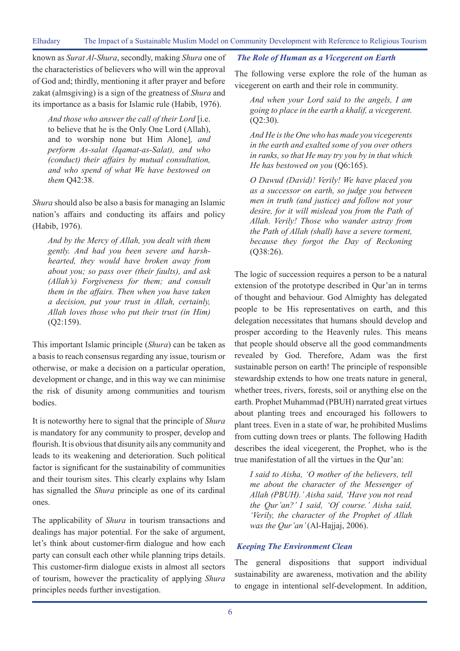known as *Surat Al-Shura*, secondly, making *Shura* one of the characteristics of believers who will win the approval of God and; thirdly, mentioning it after prayer and before zakat (almsgiving) is a sign of the greatness of *Shura* and its importance as a basis for Islamic rule (Habib, 1976).

*And those who answer the call of their Lord* [i.e. to believe that he is the Only One Lord (Allah), and to worship none but Him Alone]*, and perform As-salat (Iqamat-as-Salat), and who (conduct) their affairs by mutual consultation, and who spend of what We have bestowed on them* Q42:38.

*Shura* should also be also a basis for managing an Islamic nation's affairs and conducting its affairs and policy (Habib, 1976).

*And by the Mercy of Allah, you dealt with them gently. And had you been severe and harshhearted, they would have broken away from about you; so pass over (their faults), and ask (Allah's) Forgiveness for them; and consult them in the affairs. Then when you have taken a decision, put your trust in Allah, certainly, Allah loves those who put their trust (in Him)*  (Q2:159).

This important Islamic principle (*Shura*) can be taken as a basis to reach consensus regarding any issue, tourism or otherwise, or make a decision on a particular operation, development or change, and in this way we can minimise the risk of disunity among communities and tourism bodies.

It is noteworthy here to signal that the principle of *Shura* is mandatory for any community to prosper, develop and flourish. It is obvious that disunity ails any community and leads to its weakening and deterioration. Such political factor is significant for the sustainability of communities and their tourism sites. This clearly explains why Islam has signalled the *Shura* principle as one of its cardinal ones.

The applicability of *Shura* in tourism transactions and dealings has major potential. For the sake of argument, let's think about customer-firm dialogue and how each party can consult each other while planning trips details. This customer-firm dialogue exists in almost all sectors of tourism, however the practicality of applying *Shura*  principles needs further investigation.

#### *The Role of Human as a Vicegerent on Earth*

The following verse explore the role of the human as vicegerent on earth and their role in community.

*And when your Lord said to the angels, I am going to place in the earth a khalif, a vicegerent.*  (Q2:30).

*And He is the One who has made you vicegerents in the earth and exalted some of you over others in ranks, so that He may try you by in that which He has bestowed on you* (Q6:165).

*O Dawud (David)! Verily! We have placed you as a successor on earth, so judge you between men in truth (and justice) and follow not your desire, for it will mislead you from the Path of Allah. Verily! Those who wander astray from the Path of Allah (shall) have a severe torment, because they forgot the Day of Reckoning*  (Q38:26).

The logic of succession requires a person to be a natural extension of the prototype described in Qur'an in terms of thought and behaviour. God Almighty has delegated people to be His representatives on earth, and this delegation necessitates that humans should develop and prosper according to the Heavenly rules. This means that people should observe all the good commandments revealed by God. Therefore, Adam was the first sustainable person on earth! The principle of responsible stewardship extends to how one treats nature in general, whether trees, rivers, forests, soil or anything else on the earth. Prophet Muhammad (PBUH) narrated great virtues about planting trees and encouraged his followers to plant trees. Even in a state of war, he prohibited Muslims from cutting down trees or plants. The following Hadith describes the ideal vicegerent, the Prophet, who is the true manifestation of all the virtues in the Qur'an:

*I said to Aisha, 'O mother of the believers, tell me about the character of the Messenger of Allah (PBUH).' Aisha said, 'Have you not read the Qur'an?' I said, 'Of course.' Aisha said, 'Verily, the character of the Prophet of Allah was the Qur'an'* (Al-Hajjaj, 2006).

#### *Keeping The Environment Clean*

The general dispositions that support individual sustainability are awareness, motivation and the ability to engage in intentional self-development. In addition,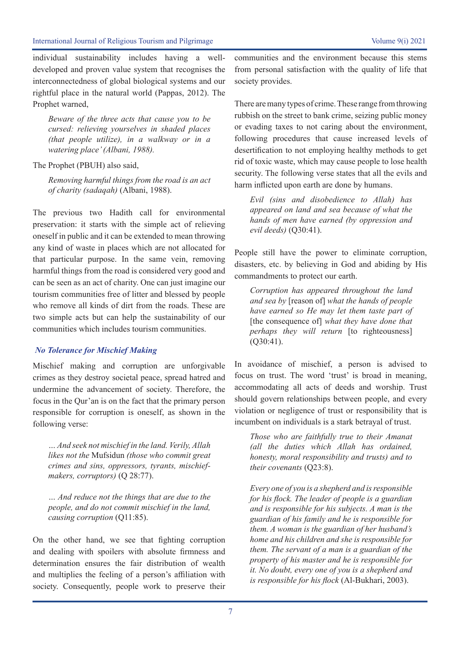individual sustainability includes having a welldeveloped and proven value system that recognises the interconnectedness of global biological systems and our rightful place in the natural world (Pappas, 2012). The Prophet warned,

*Beware of the three acts that cause you to be cursed: relieving yourselves in shaded places (that people utilize), in a walkway or in a watering place' (Albani, 1988).*

The Prophet (PBUH) also said,

*Removing harmful things from the road is an act of charity (sadaqah)* (Albani, 1988).

The previous two Hadith call for environmental preservation: it starts with the simple act of relieving oneself in public and it can be extended to mean throwing any kind of waste in places which are not allocated for that particular purpose. In the same vein, removing harmful things from the road is considered very good and can be seen as an act of charity. One can just imagine our tourism communities free of litter and blessed by people who remove all kinds of dirt from the roads. These are two simple acts but can help the sustainability of our communities which includes tourism communities.

#### *No Tolerance for Mischief Making*

Mischief making and corruption are unforgivable crimes as they destroy societal peace, spread hatred and undermine the advancement of society. Therefore, the focus in the Qur'an is on the fact that the primary person responsible for corruption is oneself, as shown in the following verse:

*… And seek not mischief in the land. Verily, Allah likes not the* Mufsidun *(those who commit great crimes and sins, oppressors, tyrants, mischiefmakers, corruptors)* (Q 28:77).

*… And reduce not the things that are due to the people, and do not commit mischief in the land, causing corruption* (Q11:85).

On the other hand, we see that fighting corruption and dealing with spoilers with absolute firmness and determination ensures the fair distribution of wealth and multiplies the feeling of a person's affiliation with society. Consequently, people work to preserve their communities and the environment because this stems from personal satisfaction with the quality of life that society provides.

There are many types of crime. These range from throwing rubbish on the street to bank crime, seizing public money or evading taxes to not caring about the environment, following procedures that cause increased levels of desertification to not employing healthy methods to get rid of toxic waste, which may cause people to lose health security. The following verse states that all the evils and harm inflicted upon earth are done by humans.

*Evil (sins and disobedience to Allah) has appeared on land and sea because of what the hands of men have earned (by oppression and evil deeds)* (Q30:41).

People still have the power to eliminate corruption, disasters, etc. by believing in God and abiding by His commandments to protect our earth.

*Corruption has appeared throughout the land and sea by* [reason of] *what the hands of people have earned so He may let them taste part of*  [the consequence of] *what they have done that perhaps they will return* [to righteousness] (Q30:41).

In avoidance of mischief, a person is advised to focus on trust. The word 'trust' is broad in meaning, accommodating all acts of deeds and worship. Trust should govern relationships between people, and every violation or negligence of trust or responsibility that is incumbent on individuals is a stark betrayal of trust.

*Those who are faithfully true to their Amanat (all the duties which Allah has ordained, honesty, moral responsibility and trusts) and to their covenants* (Q23:8).

*Every one of you is a shepherd and is responsible for his flock. The leader of people is a guardian and is responsible for his subjects. A man is the guardian of his family and he is responsible for them. A woman is the guardian of her husband's home and his children and she is responsible for them. The servant of a man is a guardian of the property of his master and he is responsible for it. No doubt, every one of you is a shepherd and is responsible for his flock* (Al-Bukhari, 2003).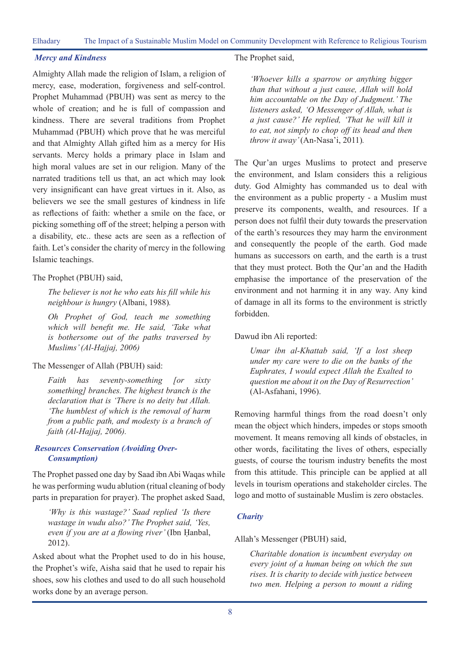#### *Mercy and Kindness*

Almighty Allah made the religion of Islam, a religion of mercy, ease, moderation, forgiveness and self-control. Prophet Muhammad (PBUH) was sent as mercy to the whole of creation; and he is full of compassion and kindness. There are several traditions from Prophet Muhammad (PBUH) which prove that he was merciful and that Almighty Allah gifted him as a mercy for His servants. Mercy holds a primary place in Islam and high moral values are set in our religion. Many of the narrated traditions tell us that, an act which may look very insignificant can have great virtues in it. Also, as believers we see the small gestures of kindness in life as reflections of faith: whether a smile on the face, or picking something off of the street; helping a person with a disability, etc.. these acts are seen as a reflection of faith. Let's consider the charity of mercy in the following Islamic teachings.

#### The Prophet (PBUH) said,

*The believer is not he who eats his fill while his neighbour is hungry* (Albani, 1988)*.* 

*Oh Prophet of God, teach me something which will benefit me. He said, 'Take what is bothersome out of the paths traversed by Muslims' (Al-Hajjaj, 2006)*

#### The Messenger of Allah (PBUH) said:

*Faith has seventy-something [or sixty something] branches. The highest branch is the declaration that is 'There is no deity but Allah. 'The humblest of which is the removal of harm from a public path, and modesty is a branch of faith (Al-Hajjaj, 2006).* 

#### *Resources Conservation (Avoiding Over-Consumption)*

The Prophet passed one day by Saad ibn Abi Waqas while he was performing wudu ablution (ritual cleaning of body parts in preparation for prayer). The prophet asked Saad,

*'Why is this wastage?' Saad replied 'Is there wastage in wudu also?' The Prophet said, 'Yes, even if you are at a flowing river'* (Ibn Ḥanbal, 2012).

Asked about what the Prophet used to do in his house, the Prophet's wife, Aisha said that he used to repair his shoes, sow his clothes and used to do all such household works done by an average person.

#### The Prophet said,

*'Whoever kills a sparrow or anything bigger than that without a just cause, Allah will hold him accountable on the Day of Judgment.' The listeners asked, 'O Messenger of Allah, what is a just cause?' He replied, 'That he will kill it to eat, not simply to chop off its head and then throw it away'* (An-Nasa'i, 2011)*.*

The Qur'an urges Muslims to protect and preserve the environment, and Islam considers this a religious duty. God Almighty has commanded us to deal with the environment as a public property - a Muslim must preserve its components, wealth, and resources. If a person does not fulfil their duty towards the preservation of the earth's resources they may harm the environment and consequently the people of the earth. God made humans as successors on earth, and the earth is a trust that they must protect. Both the Qur'an and the Hadith emphasise the importance of the preservation of the environment and not harming it in any way. Any kind of damage in all its forms to the environment is strictly forbidden.

#### Dawud ibn Ali reported:

*Umar ibn al-Khattab said, 'If a lost sheep under my care were to die on the banks of the Euphrates, I would expect Allah the Exalted to question me about it on the Day of Resurrection'*  (Al-Asfahani, 1996).

Removing harmful things from the road doesn't only mean the object which hinders, impedes or stops smooth movement. It means removing all kinds of obstacles, in other words, facilitating the lives of others, especially guests, of course the tourism industry benefits the most from this attitude. This principle can be applied at all levels in tourism operations and stakeholder circles. The logo and motto of sustainable Muslim is zero obstacles.

### *Charity*

#### Allah's Messenger (PBUH) said,

*Charitable donation is incumbent everyday on every joint of a human being on which the sun rises. It is charity to decide with justice between two men. Helping a person to mount a riding*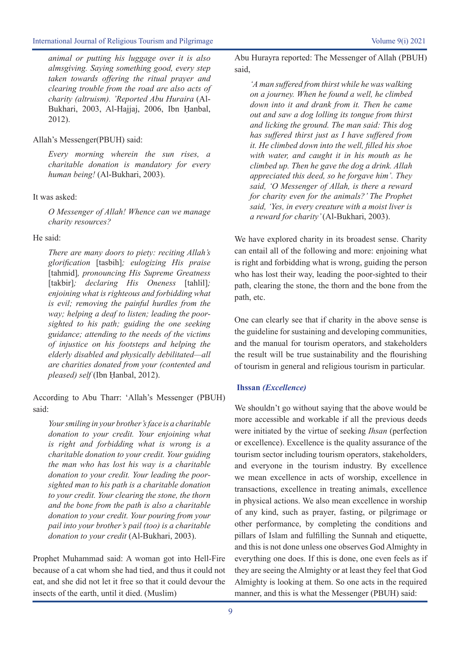*animal or putting his luggage over it is also almsgiving. Saying something good, every step taken towards offering the ritual prayer and clearing trouble from the road are also acts of charity (altruism). 'Reported Abu Huraira* (Al-Bukhari, 2003, Al-Hajjaj, 2006, Ibn Ḥanbal, 2012).

#### Allah's Messenger(PBUH) said:

*Every morning wherein the sun rises, a charitable donation is mandatory for every human being!* (Al-Bukhari, 2003).

#### It was asked:

*O Messenger of Allah! Whence can we manage charity resources?* 

#### He said:

*There are many doors to piety: reciting Allah's glorification* [tasbih]*; eulogizing His praise*  [tahmid]*, pronouncing His Supreme Greatness*  [takbir]*; declaring His Oneness* [tahlil]*; enjoining what is righteous and forbidding what is evil; removing the painful hurdles from the way; helping a deaf to listen; leading the poorsighted to his path; guiding the one seeking guidance; attending to the needs of the victims of injustice on his footsteps and helping the elderly disabled and physically debilitated—all are charities donated from your (contented and pleased) self* (Ibn Ḥanbal, 2012).

According to Abu Tharr: 'Allah's Messenger (PBUH) said:

*Your smiling in your brother's face is a charitable donation to your credit. Your enjoining what is right and forbidding what is wrong is a charitable donation to your credit. Your guiding the man who has lost his way is a charitable donation to your credit. Your leading the poorsighted man to his path is a charitable donation to your credit. Your clearing the stone, the thorn and the bone from the path is also a charitable donation to your credit. Your pouring from your pail into your brother's pail (too) is a charitable donation to your credit* (Al-Bukhari, 2003).

Prophet Muhammad said: A woman got into Hell-Fire because of a cat whom she had tied, and thus it could not eat, and she did not let it free so that it could devour the insects of the earth, until it died. (Muslim)

Abu Hurayra reported: The Messenger of Allah (PBUH) said,

*'A man suffered from thirst while he was walking on a journey. When he found a well, he climbed down into it and drank from it. Then he came out and saw a dog lolling its tongue from thirst and licking the ground. The man said: This dog has suffered thirst just as I have suffered from it. He climbed down into the well, filled his shoe with water, and caught it in his mouth as he climbed up. Then he gave the dog a drink. Allah appreciated this deed, so he forgave him'. They said, 'O Messenger of Allah, is there a reward for charity even for the animals?' The Prophet said, 'Yes, in every creature with a moist liver is a reward for charity'* (Al-Bukhari, 2003).

We have explored charity in its broadest sense. Charity can entail all of the following and more: enjoining what is right and forbidding what is wrong, guiding the person who has lost their way, leading the poor-sighted to their path, clearing the stone, the thorn and the bone from the path, etc.

One can clearly see that if charity in the above sense is the guideline for sustaining and developing communities, and the manual for tourism operators, and stakeholders the result will be true sustainability and the flourishing of tourism in general and religious tourism in particular.

### **Ihssan** *(Excellence)*

We shouldn't go without saying that the above would be more accessible and workable if all the previous deeds were initiated by the virtue of seeking *Ihsan* (perfection or excellence). Excellence is the quality assurance of the tourism sector including tourism operators, stakeholders, and everyone in the tourism industry. By excellence we mean excellence in acts of worship, excellence in transactions, excellence in treating animals, excellence in physical actions. We also mean excellence in worship of any kind, such as prayer, fasting, or pilgrimage or other performance, by completing the conditions and pillars of Islam and fulfilling the Sunnah and etiquette, and this is not done unless one observes God Almighty in everything one does. If this is done, one even feels as if they are seeing the Almighty or at least they feel that God Almighty is looking at them. So one acts in the required manner, and this is what the Messenger (PBUH) said: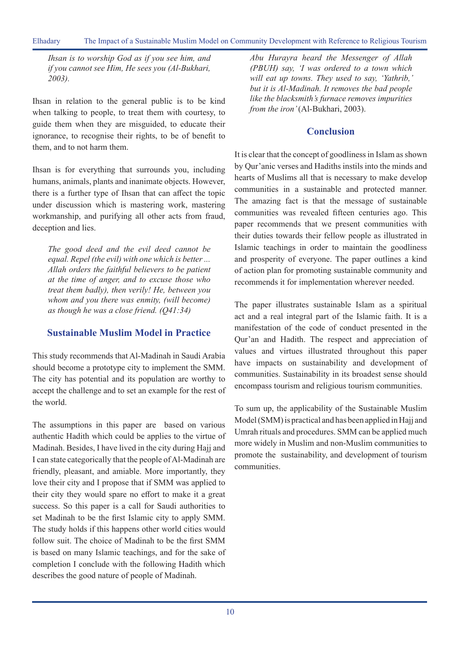Elhadary The Impact of a Sustainable Muslim Model on Community Development with Reference to Religious Tourism

*Ihsan is to worship God as if you see him, and if you cannot see Him, He sees you (Al-Bukhari, 2003).* 

Ihsan in relation to the general public is to be kind when talking to people, to treat them with courtesy, to guide them when they are misguided, to educate their ignorance, to recognise their rights, to be of benefit to them, and to not harm them.

Ihsan is for everything that surrounds you, including humans, animals, plants and inanimate objects. However, there is a further type of Ihsan that can affect the topic under discussion which is mastering work, mastering workmanship, and purifying all other acts from fraud, deception and lies.

*The good deed and the evil deed cannot be equal. Repel (the evil) with one which is better ... Allah orders the faithful believers to be patient at the time of anger, and to excuse those who treat them badly), then verily! He, between you whom and you there was enmity, (will become) as though he was a close friend. (Q41:34)*

# **Sustainable Muslim Model in Practice**

This study recommends that Al-Madinah in Saudi Arabia should become a prototype city to implement the SMM. The city has potential and its population are worthy to accept the challenge and to set an example for the rest of the world.

The assumptions in this paper are based on various authentic Hadith which could be applies to the virtue of Madinah. Besides, I have lived in the city during Hajj and I can state categorically that the people of Al-Madinah are friendly, pleasant, and amiable. More importantly, they love their city and I propose that if SMM was applied to their city they would spare no effort to make it a great success. So this paper is a call for Saudi authorities to set Madinah to be the first Islamic city to apply SMM. The study holds if this happens other world cities would follow suit. The choice of Madinah to be the first SMM is based on many Islamic teachings, and for the sake of completion I conclude with the following Hadith which describes the good nature of people of Madinah.

*Abu Hurayra heard the Messenger of Allah (PBUH) say, 'I was ordered to a town which will eat up towns. They used to say, 'Yathrib,' but it is Al-Madinah. It removes the bad people like the blacksmith's furnace removes impurities from the iron'* (Al-Bukhari, 2003).

# **Conclusion**

It is clear that the concept of goodliness in Islam as shown by Qur'anic verses and Hadiths instils into the minds and hearts of Muslims all that is necessary to make develop communities in a sustainable and protected manner. The amazing fact is that the message of sustainable communities was revealed fifteen centuries ago. This paper recommends that we present communities with their duties towards their fellow people as illustrated in Islamic teachings in order to maintain the goodliness and prosperity of everyone. The paper outlines a kind of action plan for promoting sustainable community and recommends it for implementation wherever needed.

The paper illustrates sustainable Islam as a spiritual act and a real integral part of the Islamic faith. It is a manifestation of the code of conduct presented in the Qur'an and Hadith. The respect and appreciation of values and virtues illustrated throughout this paper have impacts on sustainability and development of communities. Sustainability in its broadest sense should encompass tourism and religious tourism communities.

To sum up, the applicability of the Sustainable Muslim Model (SMM) is practical and has been applied in Hajj and Umrah rituals and procedures. SMM can be applied much more widely in Muslim and non-Muslim communities to promote the sustainability, and development of tourism communities.